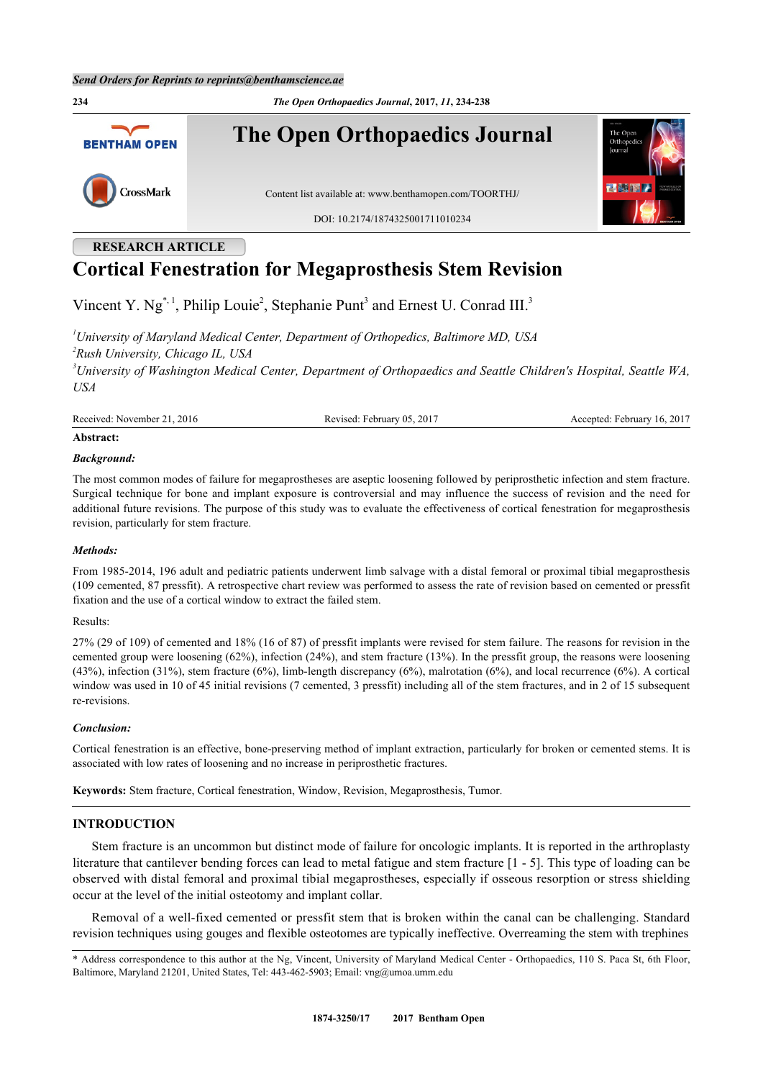**234** *The Open Orthopaedics Journal***, 2017,** *11***, 234-238 The Open Orthopaedics Journal BENTHAM OPEN** CrossMark Content list available at: [www.benthamopen.com/TOORTHJ/](http://www.benthamopen.com/TOORTHJ/) DOI: [10.2174/1874325001711010234](http://dx.doi.org/10.2174/1874325001711010234)

# **RESEARCH ARTICLE Cortical Fenestration for Megaprosthesis Stem Revision**

Vincent Y.  $Ng^{\ast,1}$  $Ng^{\ast,1}$  $Ng^{\ast,1}$ , Philip Louie<sup>[2](#page-0-2)</sup>, Stephanie Punt<sup>[3](#page-0-3)</sup> and Ernest U. Conrad III.<sup>3</sup>

<span id="page-0-3"></span><span id="page-0-2"></span><span id="page-0-1"></span>*University of Maryland Medical Center, Department of Orthopedics, Baltimore MD, USA Rush University, Chicago IL, USA University of Washington Medical Center, Department of Orthopaedics and Seattle Children's Hospital, Seattle WA, USA*

Received: November 21, 2016 Revised: February 05, 2017 Accepted: February 16, 2017

## **Abstract:**

#### *Background:*

The most common modes of failure for megaprostheses are aseptic loosening followed by periprosthetic infection and stem fracture. Surgical technique for bone and implant exposure is controversial and may influence the success of revision and the need for additional future revisions. The purpose of this study was to evaluate the effectiveness of cortical fenestration for megaprosthesis revision, particularly for stem fracture.

#### *Methods:*

From 1985-2014, 196 adult and pediatric patients underwent limb salvage with a distal femoral or proximal tibial megaprosthesis (109 cemented, 87 pressfit). A retrospective chart review was performed to assess the rate of revision based on cemented or pressfit fixation and the use of a cortical window to extract the failed stem.

#### Results:

27% (29 of 109) of cemented and 18% (16 of 87) of pressfit implants were revised for stem failure. The reasons for revision in the cemented group were loosening (62%), infection (24%), and stem fracture (13%). In the pressfit group, the reasons were loosening (43%), infection (31%), stem fracture (6%), limb-length discrepancy (6%), malrotation (6%), and local recurrence (6%). A cortical window was used in 10 of 45 initial revisions (7 cemented, 3 pressfit) including all of the stem fractures, and in 2 of 15 subsequent re-revisions.

#### *Conclusion:*

Cortical fenestration is an effective, bone-preserving method of implant extraction, particularly for broken or cemented stems. It is associated with low rates of loosening and no increase in periprosthetic fractures.

**Keywords:** Stem fracture, Cortical fenestration, Window, Revision, Megaprosthesis, Tumor.

# **INTRODUCTION**

Stem fracture is an uncommon but distinct mode of failure for oncologic implants. It is reported in the arthroplasty literature that cantilever bending forces can lead to metal fatigue and stem fracture [[1](#page-4-0) - [5](#page-4-1)]. This type of loading can be observed with distal femoral and proximal tibial megaprostheses, especially if osseous resorption or stress shielding occur at the level of the initial osteotomy and implant collar.

Removal of a well-fixed cemented or pressfit stem that is broken within the canal can be challenging. Standard revision techniques using gouges and flexible osteotomes are typically ineffective. Overreaming the stem with trephines

<span id="page-0-0"></span><sup>\*</sup> Address correspondence to this author at the Ng, Vincent, University of Maryland Medical Center - Orthopaedics, 110 S. Paca St, 6th Floor, Baltimore, Maryland 21201, United States, Tel: 443-462-5903; Email: [vng@umoa.umm.edu](mailto:vng@umoa.umm.edu)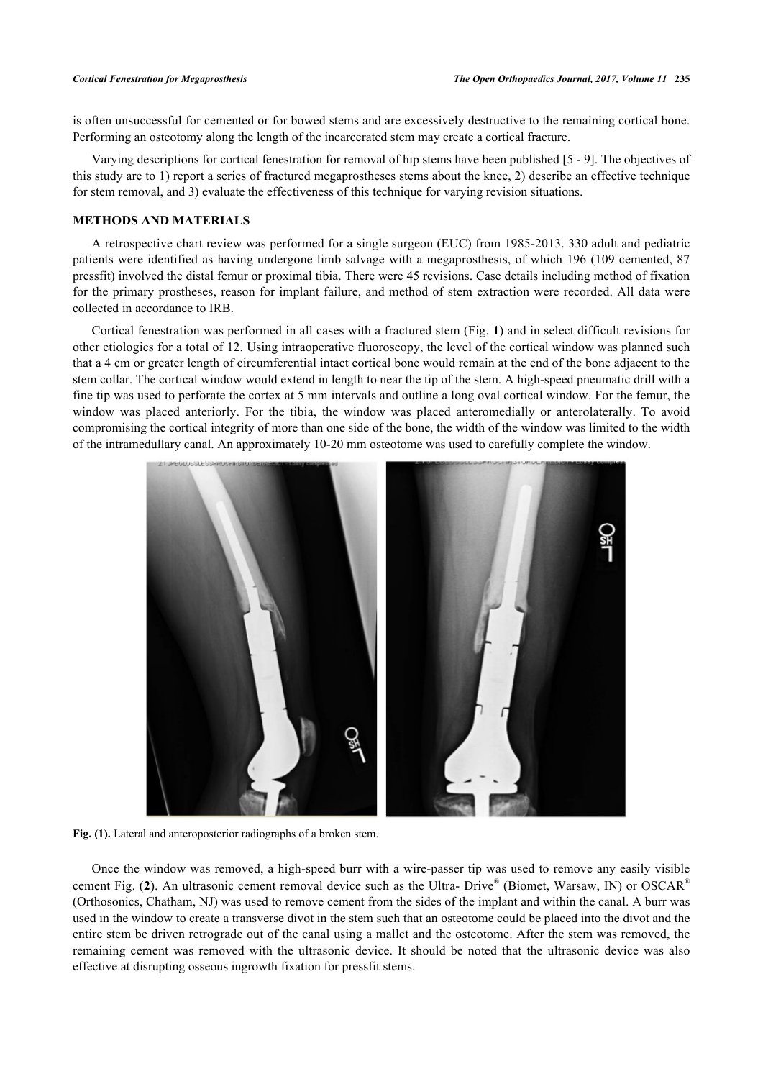is often unsuccessful for cemented or for bowed stems and are excessively destructive to the remaining cortical bone. Performing an osteotomy along the length of the incarcerated stem may create a cortical fracture.

Varying descriptions for cortical fenestration for removal of hip stems have been published [\[5](#page-4-1) - [9\]](#page-4-2). The objectives of this study are to 1) report a series of fractured megaprostheses stems about the knee, 2) describe an effective technique for stem removal, and 3) evaluate the effectiveness of this technique for varying revision situations.

# **METHODS AND MATERIALS**

A retrospective chart review was performed for a single surgeon (EUC) from 1985-2013. 330 adult and pediatric patients were identified as having undergone limb salvage with a megaprosthesis, of which 196 (109 cemented, 87 pressfit) involved the distal femur or proximal tibia. There were 45 revisions. Case details including method of fixation for the primary prostheses, reason for implant failure, and method of stem extraction were recorded. All data were collected in accordance to IRB.

Cortical fenestration was performed in all cases with a fractured stem (Fig. **[1](#page-1-0)**) and in select difficult revisions for other etiologies for a total of 12. Using intraoperative fluoroscopy, the level of the cortical window was planned such that a 4 cm or greater length of circumferential intact cortical bone would remain at the end of the bone adjacent to the stem collar. The cortical window would extend in length to near the tip of the stem. A high-speed pneumatic drill with a fine tip was used to perforate the cortex at 5 mm intervals and outline a long oval cortical window. For the femur, the window was placed anteriorly. For the tibia, the window was placed anteromedially or anterolaterally. To avoid compromising the cortical integrity of more than one side of the bone, the width of the window was limited to the width of the intramedullary canal. An approximately 10-20 mm osteotome was used to carefully complete the window.

<span id="page-1-0"></span>

**Fig. (1).** Lateral and anteroposterior radiographs of a broken stem.

<span id="page-1-1"></span>Once the window was removed, a high-speed burr with a wire-passer tip was used to remove any easily visible cement Fig. ([2](#page-1-1)). An ultrasonic cement removal device such as the Ultra- Drive<sup>®</sup> (Biomet, Warsaw, IN) or OSCAR<sup>®</sup> (Orthosonics, Chatham, NJ) was used to remove cement from the sides of the implant and within the canal. A burr was used in the window to create a transverse divot in the stem such that an osteotome could be placed into the divot and the entire stem be driven retrograde out of the canal using a mallet and the osteotome. After the stem was removed, the remaining cement was removed with the ultrasonic device. It should be noted that the ultrasonic device was also effective at disrupting osseous ingrowth fixation for pressfit stems.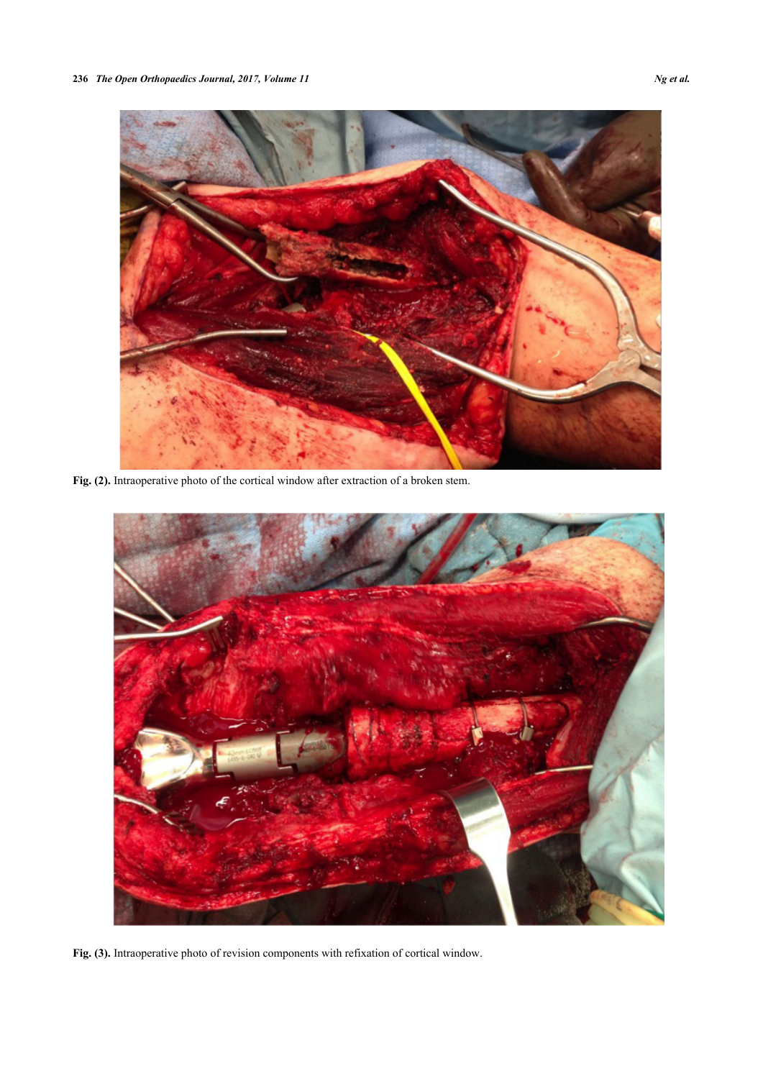

**Fig. (2).** Intraoperative photo of the cortical window after extraction of a broken stem.

<span id="page-2-0"></span>

**Fig. (3).** Intraoperative photo of revision components with refixation of cortical window.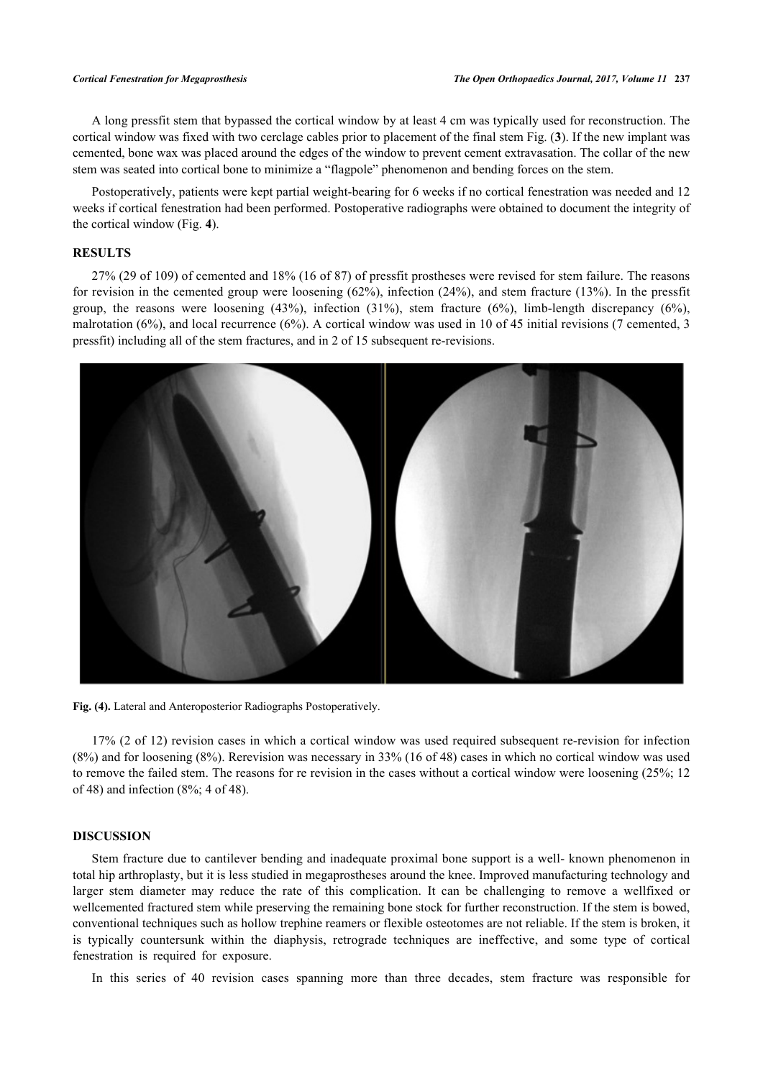A long pressfit stem that bypassed the cortical window by at least 4 cm was typically used for reconstruction. The cortical window was fixed with two cerclage cables prior to placement of the final stem Fig. (**[3](#page-2-0)**). If the new implant was cemented, bone wax was placed around the edges of the window to prevent cement extravasation. The collar of the new stem was seated into cortical bone to minimize a "flagpole" phenomenon and bending forces on the stem.

Postoperatively, patients were kept partial weight-bearing for 6 weeks if no cortical fenestration was needed and 12 weeks if cortical fenestration had been performed. Postoperative radiographs were obtained to document the integrity of the cortical window (Fig. **[4](#page-3-0)**).

# **RESULTS**

27% (29 of 109) of cemented and 18% (16 of 87) of pressfit prostheses were revised for stem failure. The reasons for revision in the cemented group were loosening (62%), infection (24%), and stem fracture (13%). In the pressfit group, the reasons were loosening  $(43\%)$ , infection  $(31\%)$ , stem fracture  $(6\%)$ , limb-length discrepancy  $(6\%)$ , malrotation (6%), and local recurrence (6%). A cortical window was used in 10 of 45 initial revisions (7 cemented, 3 pressfit) including all of the stem fractures, and in 2 of 15 subsequent re-revisions.

<span id="page-3-0"></span>

**Fig. (4).** Lateral and Anteroposterior Radiographs Postoperatively.

17% (2 of 12) revision cases in which a cortical window was used required subsequent re-revision for infection (8%) and for loosening (8%). Rerevision was necessary in 33% (16 of 48) cases in which no cortical window was used to remove the failed stem. The reasons for re revision in the cases without a cortical window were loosening (25%; 12 of 48) and infection (8%; 4 of 48).

#### **DISCUSSION**

Stem fracture due to cantilever bending and inadequate proximal bone support is a well- known phenomenon in total hip arthroplasty, but it is less studied in megaprostheses around the knee. Improved manufacturing technology and larger stem diameter may reduce the rate of this complication. It can be challenging to remove a wellfixed or wellcemented fractured stem while preserving the remaining bone stock for further reconstruction. If the stem is bowed, conventional techniques such as hollow trephine reamers or flexible osteotomes are not reliable. If the stem is broken, it is typically countersunk within the diaphysis, retrograde techniques are ineffective, and some type of cortical fenestration is required for exposure.

In this series of 40 revision cases spanning more than three decades, stem fracture was responsible for